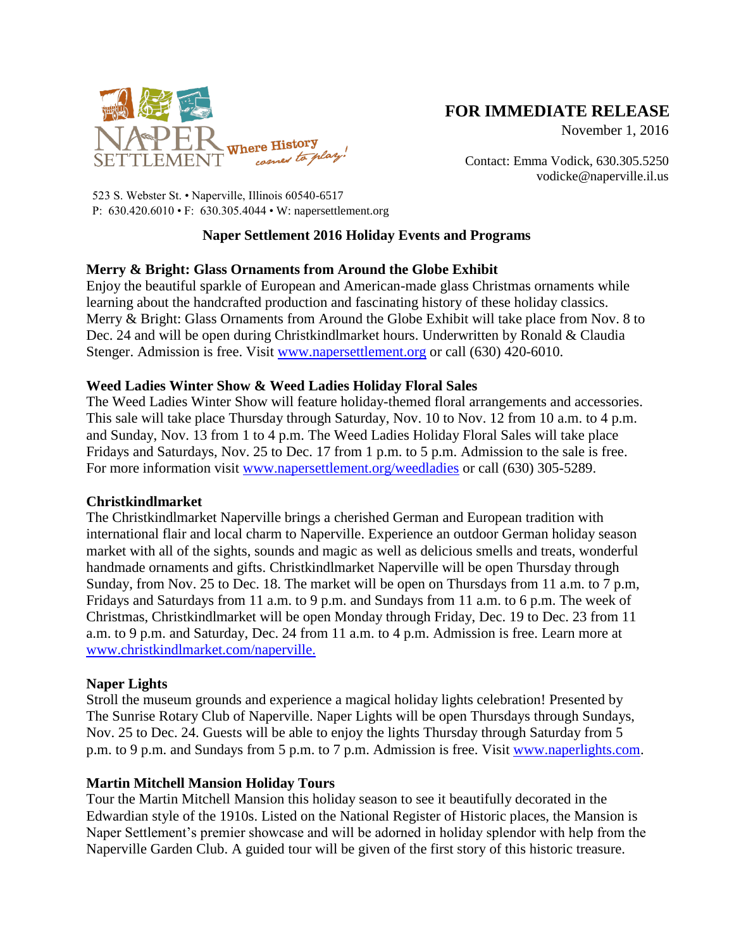

# **FOR IMMEDIATE RELEASE**

November 1, 2016

Contact: Emma Vodick, 630.305.5250 vodicke@naperville.il.us

523 S. Webster St. • Naperville, Illinois 60540-6517 P: 630.420.6010 • F: 630.305.4044 • W: napersettlement.org

# **Naper Settlement 2016 Holiday Events and Programs**

# **Merry & Bright: Glass Ornaments from Around the Globe Exhibit**

Enjoy the beautiful sparkle of European and American-made glass Christmas ornaments while learning about the handcrafted production and fascinating history of these holiday classics. Merry & Bright: Glass Ornaments from Around the Globe Exhibit will take place from Nov. 8 to Dec. 24 and will be open during Christkindlmarket hours. Underwritten by Ronald & Claudia Stenger. Admission is free. Visit [www.napersettlement.org](http://www.napersettlement.org/) or call (630) 420-6010.

## **Weed Ladies Winter Show & Weed Ladies Holiday Floral Sales**

The Weed Ladies Winter Show will feature holiday-themed floral arrangements and accessories. This sale will take place Thursday through Saturday, Nov. 10 to Nov. 12 from 10 a.m. to 4 p.m. and Sunday, Nov. 13 from 1 to 4 p.m. The Weed Ladies Holiday Floral Sales will take place Fridays and Saturdays, Nov. 25 to Dec. 17 from 1 p.m. to 5 p.m. Admission to the sale is free. For more information visit [www.napersettlement.org/weedladies](http://www.napersettlement.org/weedladies) or call (630) 305-5289.

## **Christkindlmarket**

The Christkindlmarket Naperville brings a cherished German and European tradition with international flair and local charm to Naperville. Experience an outdoor German holiday season market with all of the sights, sounds and magic as well as delicious smells and treats, wonderful handmade ornaments and gifts. Christkindlmarket Naperville will be open Thursday through Sunday, from Nov. 25 to Dec. 18. The market will be open on Thursdays from 11 a.m. to 7 p.m, Fridays and Saturdays from 11 a.m. to 9 p.m. and Sundays from 11 a.m. to 6 p.m. The week of Christmas, Christkindlmarket will be open Monday through Friday, Dec. 19 to Dec. 23 from 11 a.m. to 9 p.m. and Saturday, Dec. 24 from 11 a.m. to 4 p.m. Admission is free. Learn more at [www.christkindlmarket.com/naperville.](http://www.christkindlmarket.com/naperville)

## **Naper Lights**

Stroll the museum grounds and experience a magical holiday lights celebration! Presented by The Sunrise Rotary Club of Naperville. Naper Lights will be open Thursdays through Sundays, Nov. 25 to Dec. 24. Guests will be able to enjoy the lights Thursday through Saturday from 5 p.m. to 9 p.m. and Sundays from 5 p.m. to 7 p.m. Admission is free. Visit [www.naperlights.com.](file://vmmc1/data/Department/NS/SETTLMNT/-%20MARKETING%20DEPARTMENT/-%20Mktg%20Coord%20Event%20and%20Press%20Files%20-/Press%20Releases/2016/Monthly%20Press%20Releases/www.naperlights.com)

## **Martin Mitchell Mansion Holiday Tours**

Tour the Martin Mitchell Mansion this holiday season to see it beautifully decorated in the Edwardian style of the 1910s. Listed on the National Register of Historic places, the Mansion is Naper Settlement's premier showcase and will be adorned in holiday splendor with help from the Naperville Garden Club. A guided tour will be given of the first story of this historic treasure.